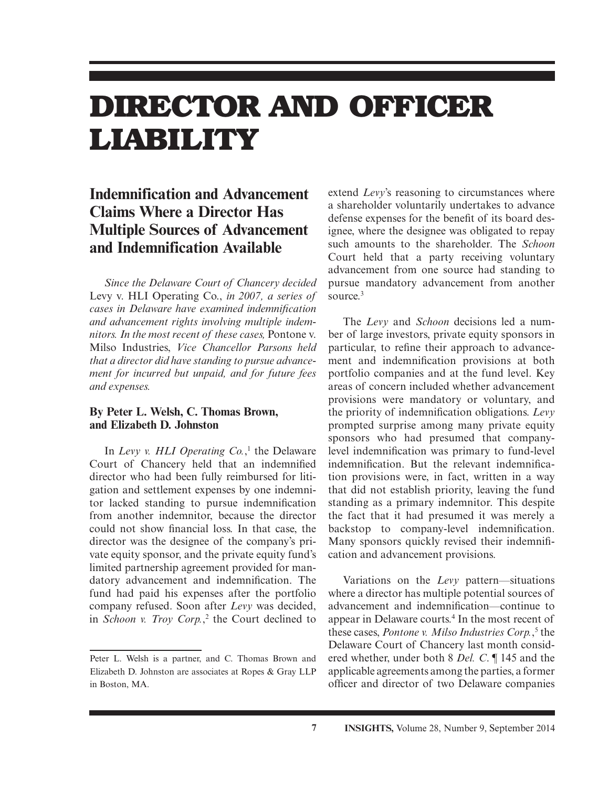# **DIRECTOR AND OFFICER LIABILITY**

## **Indemnification and Advancement Claims Where a Director Has Multiple Sources of Advancement and Indemnification Available**

*Since the Delaware Court of Chancery decided*  Levy v. HLI Operating Co., *in 2007, a series of cases in Delaware have examined indemnification and advancement rights involving multiple indemnitors. In the most recent of these cases,* Pontone v. Milso Industries, *Vice Chancellor Parsons held that a director did have standing to pursue advancement for incurred but unpaid, and for future fees and expenses.*

#### **By Peter L. Welsh, C. Thomas Brown, and Elizabeth D. Johnston**

In *Levy v. HLI Operating Co.*, <sup>1</sup> the Delaware Court of Chancery held that an indemnified director who had been fully reimbursed for litigation and settlement expenses by one indemnitor lacked standing to pursue indemnification from another indemnitor, because the director could not show financial loss. In that case, the director was the designee of the company's private equity sponsor, and the private equity fund's limited partnership agreement provided for mandatory advancement and indemnification. The fund had paid his expenses after the portfolio company refused. Soon after *Levy* was decided, in *Schoon v. Troy Corp.*, 2 the Court declined to

extend *Levy*'s reasoning to circumstances where a shareholder voluntarily undertakes to advance defense expenses for the benefit of its board designee, where the designee was obligated to repay such amounts to the shareholder. The *Schoon* Court held that a party receiving voluntary advancement from one source had standing to pursue mandatory advancement from another source.<sup>3</sup>

The *Levy* and *Schoon* decisions led a number of large investors, private equity sponsors in particular, to refine their approach to advancement and indemnification provisions at both portfolio companies and at the fund level. Key areas of concern included whether advancement provisions were mandatory or voluntary, and the priority of indemnification obligations. *Levy* prompted surprise among many private equity sponsors who had presumed that companylevel indemnification was primary to fund-level indemnification. But the relevant indemnification provisions were, in fact, written in a way that did not establish priority, leaving the fund standing as a primary indemnitor. This despite the fact that it had presumed it was merely a backstop to company-level indemnification. Many sponsors quickly revised their indemnification and advancement provisions.

Variations on the *Levy* pattern—situations where a director has multiple potential sources of advancement and indemnification—continue to appear in Delaware courts.4 In the most recent of these cases, *Pontone v. Milso Industries Corp.*, 5 the Delaware Court of Chancery last month considered whether, under both 8 *Del. C*. ¶ 145 and the applicable agreements among the parties, a former officer and director of two Delaware companies

Peter L. Welsh is a partner, and C. Thomas Brown and Elizabeth D. Johnston are associates at Ropes & Gray LLP in Boston, MA.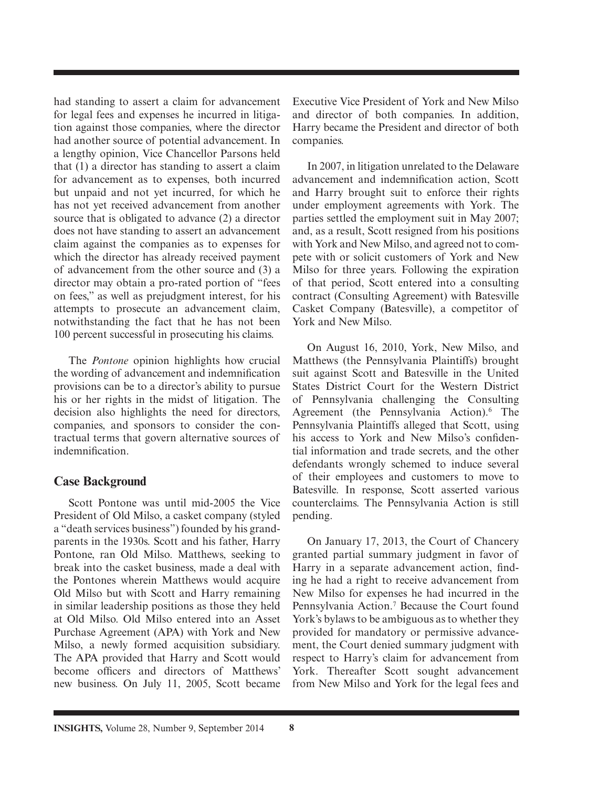had standing to assert a claim for advancement for legal fees and expenses he incurred in litigation against those companies, where the director had another source of potential advancement. In a lengthy opinion, Vice Chancellor Parsons held that (1) a director has standing to assert a claim for advancement as to expenses, both incurred but unpaid and not yet incurred, for which he has not yet received advancement from another source that is obligated to advance (2) a director does not have standing to assert an advancement claim against the companies as to expenses for which the director has already received payment of advancement from the other source and (3) a director may obtain a pro-rated portion of "fees on fees," as well as prejudgment interest, for his attempts to prosecute an advancement claim, notwithstanding the fact that he has not been 100 percent successful in prosecuting his claims.

The *Pontone* opinion highlights how crucial the wording of advancement and indemnification provisions can be to a director's ability to pursue his or her rights in the midst of litigation. The decision also highlights the need for directors, companies, and sponsors to consider the contractual terms that govern alternative sources of indemnification

#### **Case Background**

Scott Pontone was until mid-2005 the Vice President of Old Milso, a casket company (styled a "death services business") founded by his grandparents in the 1930s. Scott and his father, Harry Pontone, ran Old Milso. Matthews, seeking to break into the casket business, made a deal with the Pontones wherein Matthews would acquire Old Milso but with Scott and Harry remaining in similar leadership positions as those they held at Old Milso. Old Milso entered into an Asset Purchase Agreement (APA) with York and New Milso, a newly formed acquisition subsidiary. The APA provided that Harry and Scott would become officers and directors of Matthews' new business. On July 11, 2005, Scott became Executive Vice President of York and New Milso and director of both companies. In addition, Harry became the President and director of both companies.

In 2007, in litigation unrelated to the Delaware advancement and indemnification action, Scott and Harry brought suit to enforce their rights under employment agreements with York. The parties settled the employment suit in May 2007; and, as a result, Scott resigned from his positions with York and New Milso, and agreed not to compete with or solicit customers of York and New Milso for three years. Following the expiration of that period, Scott entered into a consulting contract (Consulting Agreement) with Batesville Casket Company (Batesville), a competitor of York and New Milso.

On August 16, 2010, York, New Milso, and Matthews (the Pennsylvania Plaintiffs) brought suit against Scott and Batesville in the United States District Court for the Western District of Pennsylvania challenging the Consulting Agreement (the Pennsylvania Action).<sup>6</sup> The Pennsylvania Plaintiffs alleged that Scott, using his access to York and New Milso's confidential information and trade secrets, and the other defendants wrongly schemed to induce several of their employees and customers to move to Batesville. In response, Scott asserted various counterclaims. The Pennsylvania Action is still pending.

On January 17, 2013, the Court of Chancery granted partial summary judgment in favor of Harry in a separate advancement action, finding he had a right to receive advancement from New Milso for expenses he had incurred in the Pennsylvania Action.<sup>7</sup> Because the Court found York's bylaws to be ambiguous as to whether they provided for mandatory or permissive advancement, the Court denied summary judgment with respect to Harry's claim for advancement from York. Thereafter Scott sought advancement from New Milso and York for the legal fees and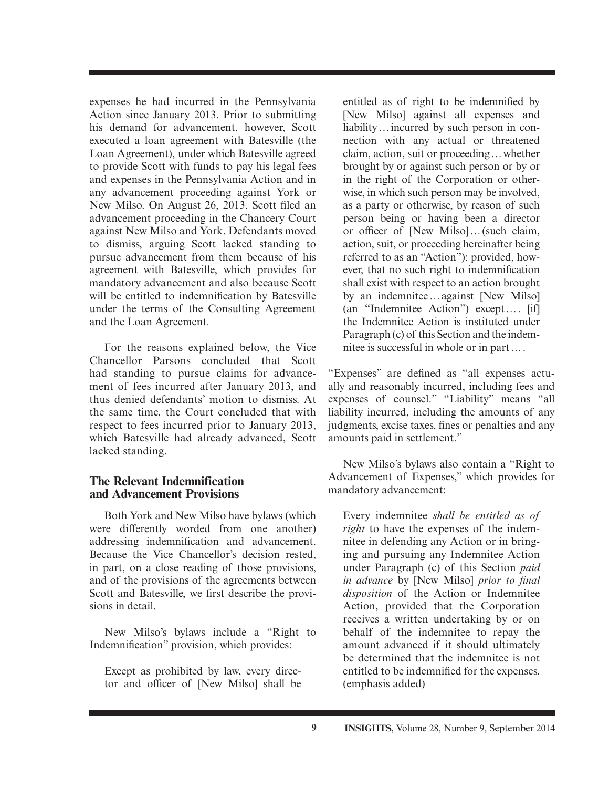expenses he had incurred in the Pennsylvania Action since January 2013. Prior to submitting his demand for advancement, however, Scott executed a loan agreement with Batesville (the Loan Agreement), under which Batesville agreed to provide Scott with funds to pay his legal fees and expenses in the Pennsylvania Action and in any advancement proceeding against York or New Milso. On August 26, 2013, Scott filed an advancement proceeding in the Chancery Court against New Milso and York. Defendants moved to dismiss, arguing Scott lacked standing to pursue advancement from them because of his agreement with Batesville, which provides for mandatory advancement and also because Scott will be entitled to indemnification by Batesville under the terms of the Consulting Agreement and the Loan Agreement.

For the reasons explained below, the Vice Chancellor Parsons concluded that Scott had standing to pursue claims for advancement of fees incurred after January 2013, and thus denied defendants' motion to dismiss. At the same time, the Court concluded that with respect to fees incurred prior to January 2013, which Batesville had already advanced, Scott lacked standing.

#### **The Relevant Indemnification and Advancement Provisions**

Both York and New Milso have bylaws (which were differently worded from one another) addressing indemnification and advancement. Because the Vice Chancellor's decision rested, in part, on a close reading of those provisions, and of the provisions of the agreements between Scott and Batesville, we first describe the provisions in detail.

New Milso's bylaws include a "Right to Indemnification" provision, which provides:

Except as prohibited by law, every director and officer of [New Milso] shall be

entitled as of right to be indemnified by [New Milso] against all expenses and liability … incurred by such person in connection with any actual or threatened claim, action, suit or proceeding … whether brought by or against such person or by or in the right of the Corporation or otherwise, in which such person may be involved, as a party or otherwise, by reason of such person being or having been a director or officer of [New Milso]... (such claim, action, suit, or proceeding hereinafter being referred to as an "Action"); provided, however, that no such right to indemnification shall exist with respect to an action brought by an indemnitee … against [New Milso] (an "Indemnitee Action") except … . [if] the Indemnitee Action is instituted under Paragraph (c) of this Section and the indemnitee is successful in whole or in part … .

"Expenses" are defined as "all expenses actually and reasonably incurred, including fees and expenses of counsel." "Liability" means "all liability incurred, including the amounts of any judgments, excise taxes, fines or penalties and any amounts paid in settlement."

New Milso's bylaws also contain a "Right to Advancement of Expenses," which provides for mandatory advancement:

Every indemnitee *shall be entitled as of right* to have the expenses of the indemnitee in defending any Action or in bringing and pursuing any Indemnitee Action under Paragraph (c) of this Section *paid in advance* by [New Milso] *prior to final disposition* of the Action or Indemnitee Action, provided that the Corporation receives a written undertaking by or on behalf of the indemnitee to repay the amount advanced if it should ultimately be determined that the indemnitee is not entitled to be indemnified for the expenses. (emphasis added)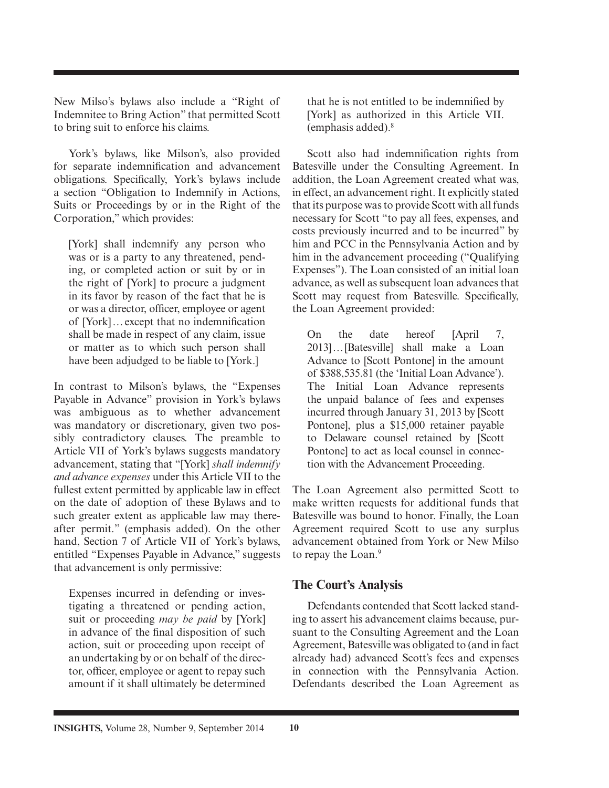New Milso's bylaws also include a "Right of Indemnitee to Bring Action" that permitted Scott to bring suit to enforce his claims.

York's bylaws, like Milson's, also provided for separate indemnification and advancement obligations. Specifically, York's bylaws include a section "Obligation to Indemnify in Actions, Suits or Proceedings by or in the Right of the Corporation," which provides:

[York] shall indemnify any person who was or is a party to any threatened, pending, or completed action or suit by or in the right of [York] to procure a judgment in its favor by reason of the fact that he is or was a director, officer, employee or agent of [York]... except that no indemnification shall be made in respect of any claim, issue or matter as to which such person shall have been adjudged to be liable to [York.]

In contrast to Milson's bylaws, the "Expenses Payable in Advance" provision in York's bylaws was ambiguous as to whether advancement was mandatory or discretionary, given two possibly contradictory clauses. The preamble to Article VII of York's bylaws suggests mandatory advancement, stating that "[York] *shall indemnify and advance expenses* under this Article VII to the fullest extent permitted by applicable law in effect on the date of adoption of these Bylaws and to such greater extent as applicable law may thereafter permit." (emphasis added). On the other hand, Section 7 of Article VII of York's bylaws, entitled "Expenses Payable in Advance," suggests that advancement is only permissive:

Expenses incurred in defending or investigating a threatened or pending action, suit or proceeding *may be paid* by [York] in advance of the final disposition of such action, suit or proceeding upon receipt of an undertaking by or on behalf of the director, officer, employee or agent to repay such amount if it shall ultimately be determined

that he is not entitled to be indemnified by [York] as authorized in this Article VII. (emphasis added).8

Scott also had indemnification rights from Batesville under the Consulting Agreement. In addition, the Loan Agreement created what was, in effect, an advancement right. It explicitly stated that its purpose was to provide Scott with all funds necessary for Scott "to pay all fees, expenses, and costs previously incurred and to be incurred" by him and PCC in the Pennsylvania Action and by him in the advancement proceeding ("Qualifying Expenses"). The Loan consisted of an initial loan advance, as well as subsequent loan advances that Scott may request from Batesville. Specifically, the Loan Agreement provided:

On the date hereof [April 7, 2013] … [Batesville] shall make a Loan Advance to [Scott Pontone] in the amount of \$388,535.81 (the 'Initial Loan Advance'). The Initial Loan Advance represents the unpaid balance of fees and expenses incurred through January 31, 2013 by [Scott Pontone], plus a \$15,000 retainer payable to Delaware counsel retained by [Scott Pontone] to act as local counsel in connection with the Advancement Proceeding.

The Loan Agreement also permitted Scott to make written requests for additional funds that Batesville was bound to honor. Finally, the Loan Agreement required Scott to use any surplus advancement obtained from York or New Milso to repay the Loan.<sup>9</sup>

### **The Court's Analysis**

Defendants contended that Scott lacked standing to assert his advancement claims because, pursuant to the Consulting Agreement and the Loan Agreement, Batesville was obligated to (and in fact already had) advanced Scott's fees and expenses in connection with the Pennsylvania Action. Defendants described the Loan Agreement as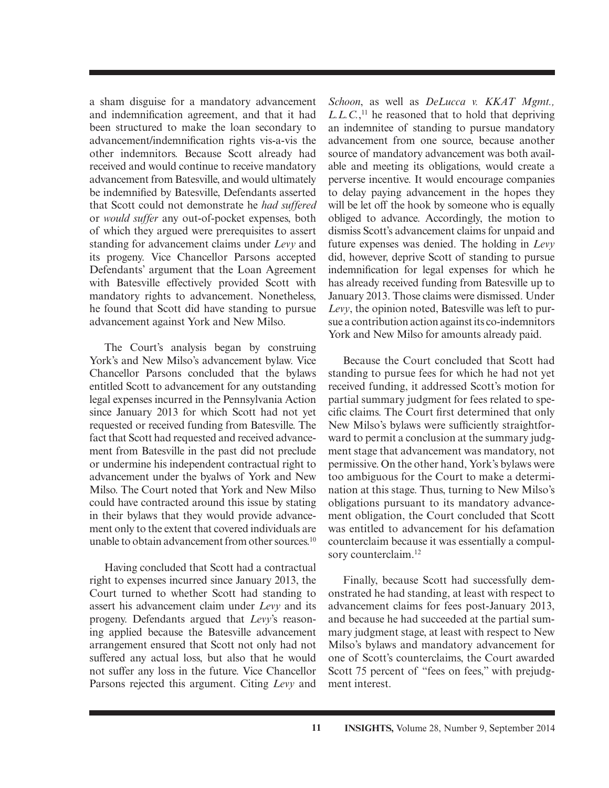a sham disguise for a mandatory advancement and indemnification agreement, and that it had been structured to make the loan secondary to advancement/indemnification rights vis-a-vis the other indemnitors. Because Scott already had received and would continue to receive mandatory advancement from Batesville, and would ultimately be indemnified by Batesville, Defendants asserted that Scott could not demonstrate he *had suffered* or *would suffer* any out-of-pocket expenses, both of which they argued were prerequisites to assert standing for advancement claims under *Levy* and its progeny. Vice Chancellor Parsons accepted Defendants' argument that the Loan Agreement with Batesville effectively provided Scott with mandatory rights to advancement. Nonetheless, he found that Scott did have standing to pursue advancement against York and New Milso.

The Court's analysis began by construing York's and New Milso's advancement bylaw. Vice Chancellor Parsons concluded that the bylaws entitled Scott to advancement for any outstanding legal expenses incurred in the Pennsylvania Action since January 2013 for which Scott had not yet requested or received funding from Batesville. The fact that Scott had requested and received advancement from Batesville in the past did not preclude or undermine his independent contractual right to advancement under the byalws of York and New Milso. The Court noted that York and New Milso could have contracted around this issue by stating in their bylaws that they would provide advancement only to the extent that covered individuals are unable to obtain advancement from other sources.<sup>10</sup>

Having concluded that Scott had a contractual right to expenses incurred since January 2013, the Court turned to whether Scott had standing to assert his advancement claim under *Levy* and its progeny. Defendants argued that *Levy*'s reasoning applied because the Batesville advancement arrangement ensured that Scott not only had not suffered any actual loss, but also that he would not suffer any loss in the future. Vice Chancellor Parsons rejected this argument. Citing *Levy* and *Schoon*, as well as *DeLucca v. KKAT Mgmt., L.L.C.*, 11 he reasoned that to hold that depriving an indemnitee of standing to pursue mandatory advancement from one source, because another source of mandatory advancement was both available and meeting its obligations, would create a perverse incentive. It would encourage companies to delay paying advancement in the hopes they will be let off the hook by someone who is equally obliged to advance. Accordingly, the motion to dismiss Scott's advancement claims for unpaid and future expenses was denied. The holding in *Levy* did, however, deprive Scott of standing to pursue indemnification for legal expenses for which he has already received funding from Batesville up to January 2013. Those claims were dismissed. Under *Levy*, the opinion noted, Batesville was left to pursue a contribution action against its co-indemnitors York and New Milso for amounts already paid.

Because the Court concluded that Scott had standing to pursue fees for which he had not yet received funding, it addressed Scott's motion for partial summary judgment for fees related to specific claims. The Court first determined that only New Milso's bylaws were sufficiently straightforward to permit a conclusion at the summary judgment stage that advancement was mandatory, not permissive. On the other hand, York's bylaws were too ambiguous for the Court to make a determination at this stage. Thus, turning to New Milso's obligations pursuant to its mandatory advancement obligation, the Court concluded that Scott was entitled to advancement for his defamation counterclaim because it was essentially a compulsory counterclaim.<sup>12</sup>

Finally, because Scott had successfully demonstrated he had standing, at least with respect to advancement claims for fees post-January 2013, and because he had succeeded at the partial summary judgment stage, at least with respect to New Milso's bylaws and mandatory advancement for one of Scott's counterclaims, the Court awarded Scott 75 percent of "fees on fees," with prejudgment interest.